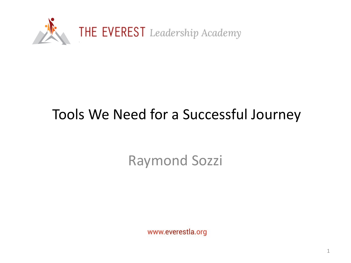

# Tools We Need for a Successful Journey

Raymond Sozzi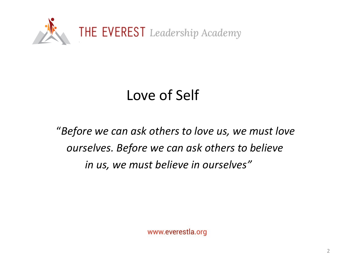

# Love of Self

"*Before we can ask others to love us, we must love ourselves. Before we can ask others to believe in us, we must believe in ourselves"*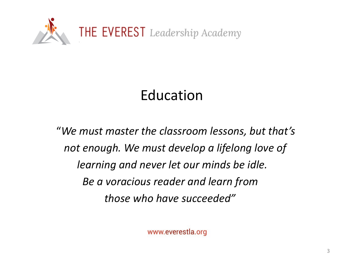

# Education

"*We must master the classroom lessons, but that's not enough. We must develop a lifelong love of learning and never let our minds be idle. Be a voracious reader and learn from those who have succeeded"*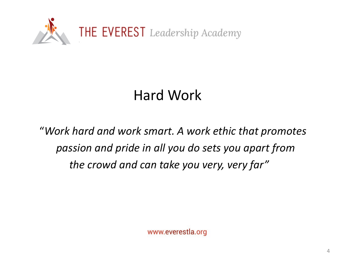

## Hard Work

"*Work hard and work smart. A work ethic that promotes passion and pride in all you do sets you apart from the crowd and can take you very, very far"*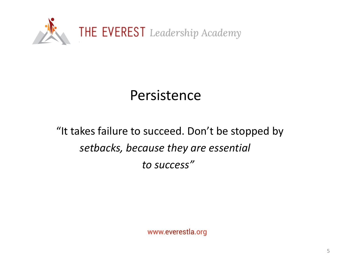

#### Persistence

#### "It takes failure to succeed. Don't be stopped by *setbacks, because they are essential to success"*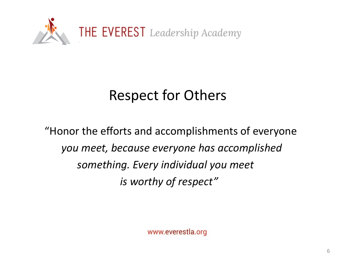

### Respect for Others

"Honor the efforts and accomplishments of everyone *you meet, because everyone has accomplished something. Every individual you meet is worthy of respect"*